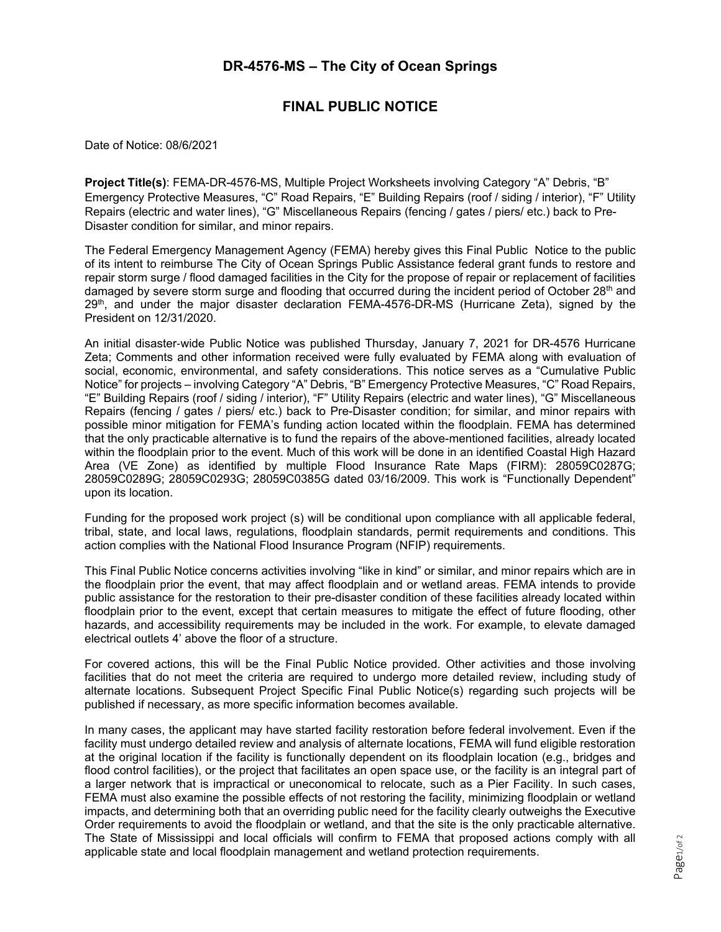## **DR-4576-MS – The City of Ocean Springs**

## **FINAL PUBLIC NOTICE**

Date of Notice: 08/6/2021

**Project Title(s)**: FEMA-DR-4576-MS, Multiple Project Worksheets involving Category "A" Debris, "B" Emergency Protective Measures, "C" Road Repairs, "E" Building Repairs (roof / siding / interior), "F" Utility Repairs (electric and water lines), "G" Miscellaneous Repairs (fencing / gates / piers/ etc.) back to Pre-Disaster condition for similar, and minor repairs.

The Federal Emergency Management Agency (FEMA) hereby gives this Final Public Notice to the public of its intent to reimburse The City of Ocean Springs Public Assistance federal grant funds to restore and repair storm surge / flood damaged facilities in the City for the propose of repair or replacement of facilities damaged by severe storm surge and flooding that occurred during the incident period of October 28<sup>th</sup> and  $29<sup>th</sup>$ , and under the major disaster declaration FEMA-4576-DR-MS (Hurricane Zeta), signed by the President on 12/31/2020.

An initial disaster‐wide Public Notice was published Thursday, January 7, 2021 for DR-4576 Hurricane Zeta; Comments and other information received were fully evaluated by FEMA along with evaluation of social, economic, environmental, and safety considerations. This notice serves as a "Cumulative Public Notice" for projects – involving Category "A" Debris, "B" Emergency Protective Measures, "C" Road Repairs, "E" Building Repairs (roof / siding / interior), "F" Utility Repairs (electric and water lines), "G" Miscellaneous Repairs (fencing / gates / piers/ etc.) back to Pre-Disaster condition; for similar, and minor repairs with possible minor mitigation for FEMA's funding action located within the floodplain. FEMA has determined that the only practicable alternative is to fund the repairs of the above-mentioned facilities, already located within the floodplain prior to the event. Much of this work will be done in an identified Coastal High Hazard Area (VE Zone) as identified by multiple Flood Insurance Rate Maps (FIRM): 28059C0287G; 28059C0289G; 28059C0293G; 28059C0385G dated 03/16/2009. This work is "Functionally Dependent" upon its location.

Funding for the proposed work project (s) will be conditional upon compliance with all applicable federal, tribal, state, and local laws, regulations, floodplain standards, permit requirements and conditions. This action complies with the National Flood Insurance Program (NFIP) requirements.

This Final Public Notice concerns activities involving "like in kind" or similar, and minor repairs which are in the floodplain prior the event, that may affect floodplain and or wetland areas. FEMA intends to provide public assistance for the restoration to their pre-disaster condition of these facilities already located within floodplain prior to the event, except that certain measures to mitigate the effect of future flooding, other hazards, and accessibility requirements may be included in the work. For example, to elevate damaged electrical outlets 4' above the floor of a structure.

For covered actions, this will be the Final Public Notice provided. Other activities and those involving facilities that do not meet the criteria are required to undergo more detailed review, including study of alternate locations. Subsequent Project Specific Final Public Notice(s) regarding such projects will be published if necessary, as more specific information becomes available.

In many cases, the applicant may have started facility restoration before federal involvement. Even if the facility must undergo detailed review and analysis of alternate locations, FEMA will fund eligible restoration at the original location if the facility is functionally dependent on its floodplain location (e.g., bridges and flood control facilities), or the project that facilitates an open space use, or the facility is an integral part of a larger network that is impractical or uneconomical to relocate, such as a Pier Facility. In such cases, FEMA must also examine the possible effects of not restoring the facility, minimizing floodplain or wetland impacts, and determining both that an overriding public need for the facility clearly outweighs the Executive Order requirements to avoid the floodplain or wetland, and that the site is the only practicable alternative. The State of Mississippi and local officials will confirm to FEMA that proposed actions comply with all applicable state and local floodplain management and wetland protection requirements.